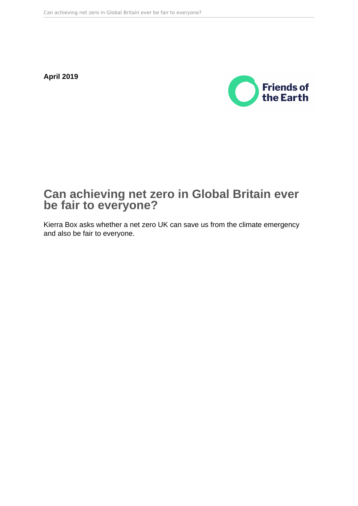**April 2019**



# **Can achieving net zero in Global Britain ever be fair to everyone?**

Kierra Box asks whether a net zero UK can save us from the climate emergency and also be fair to everyone.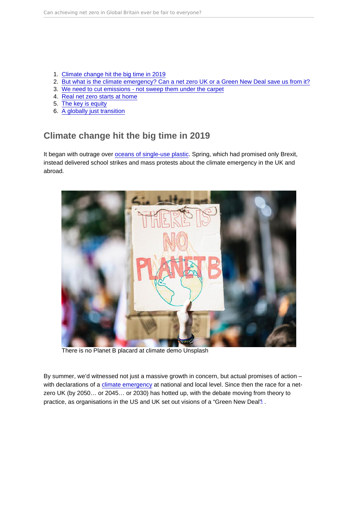- <span id="page-1-0"></span>1. Climate change hit the big time in 2019
- 2. [But what is the climate emergency? Can a net zero UK or a Green New Deal save us from it?](#page-2-0)
- 3. [We need to cut emissions not sweep them under the carpet](#page-3-0)
- 4. [Real net zero starts at home](#page-3-0)
- 5. [The key is equity](#page-5-0)
- 6. [A globally just transition](#page-7-0)

# Climate change hit the big time in 2019

It began with outrage over [oceans of single-use plastic.](https://friendsoftheearth.uk/plastics) Spring, which had promised only Brexit, instead delivered school strikes and mass protests about the climate emergency in the UK and abroad.

There is no Planet B placard at climate demo Unsplash

By summer, we'd witnessed not just a massive growth in concern, but actual promises of action – with declarations of a [climate emergency](https://friendsoftheearth.uk/climate-change/climate-emergency-plan) at national and local level. Since then the race for a netzero UK (by 2050… or 2045… or 2030) has hotted up, with the debate moving from theory to practice, as organisations in the US and UK set out visions of a "Green New Deal" .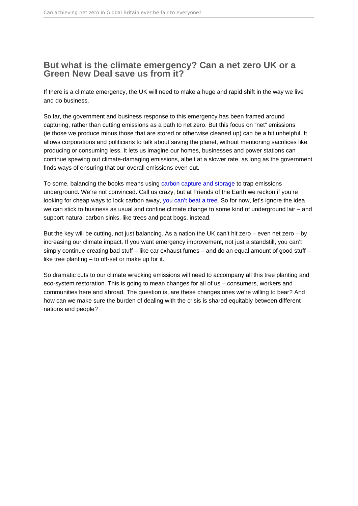## <span id="page-2-0"></span>But what is the climate emergency? Can a net zero UK or a Green New Deal save us from it?

If there is a climate emergency, the UK will need to make a huge and rapid shift in the way we live and do business.

So far, the government and business response to this emergency has been framed around capturing, rather than cutting emissions as a path to net zero. But this focus on "net" emissions (ie those we produce minus those that are stored or otherwise cleaned up) can be a bit unhelpful. It allows corporations and politicians to talk about saving the planet, without mentioning sacrifices like producing or consuming less. It lets us imagine our homes, businesses and power stations can continue spewing out climate-damaging emissions, albeit at a slower rate, as long as the government finds ways of ensuring that our overall emissions even out.

To some, balancing the books means using [carbon capture and storage](https://policy.friendsoftheearth.uk/blog/how-gas-industry-trying-kill-eco-heating#the-gas-industrys-gambit) to trap emissions underground. We're not convinced. Call us crazy, but at Friends of the Earth we reckon if you're looking for cheap ways to lock carbon away, [you can't beat a tree.](https://friendsoftheearth.uk/climate-change/doubling-trees-will-help-stop-climate-chaos) So for now, let's ignore the idea we can stick to business as usual and confine climate change to some kind of underground lair – and support natural carbon sinks, like trees and peat bogs, instead.

But the key will be cutting, not just balancing. As a nation the UK can't hit zero – even net zero – by increasing our climate impact. If you want emergency improvement, not just a standstill, you can't simply continue creating bad stuff – like car exhaust fumes – and do an equal amount of good stuff – like tree planting – to off-set or make up for it.

So dramatic cuts to our climate wrecking emissions will need to accompany all this tree planting and eco-system restoration. This is going to mean changes for all of us – consumers, workers and communities here and abroad. The question is, are these changes ones we're willing to bear? And how can we make sure the burden of dealing with the crisis is shared equitably between different nations and people?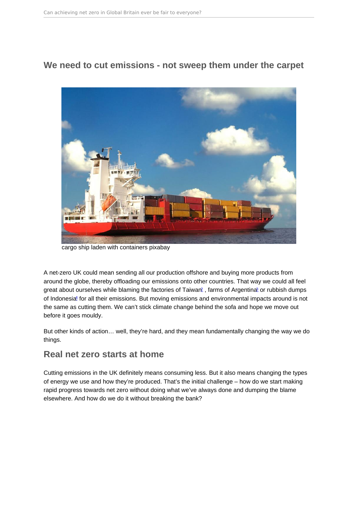<span id="page-3-0"></span>We need to cut emissions - not sweep them under the carpet

cargo ship laden with containers pixabay

A net-zero UK could mean sending all our production offshore and buying more products from around the globe, thereby offloading our emissions onto other countries. That way we could all feel great about ourselves while blaming the factories of Taiwar<sup>[2](#page-11-0)</sup>, farms of Argentina<sup>[3](#page-11-0)</sup> or rubbish dumps of Indonesia[4](#page-11-0) for all their emissions. But moving emissions and environmental impacts around is not the same as cutting them. We can't stick climate change behind the sofa and hope we move out before it goes mouldy.

But other kinds of action… well, they're hard, and they mean fundamentally changing the way we do things.

### Real net zero starts at home

Cutting emissions in the UK definitely means consuming less. But it also means changing the types of energy we use and how they're produced. That's the initial challenge – how do we start making rapid progress towards net zero without doing what we've always done and dumping the blame elsewhere. And how do we do it without breaking the bank?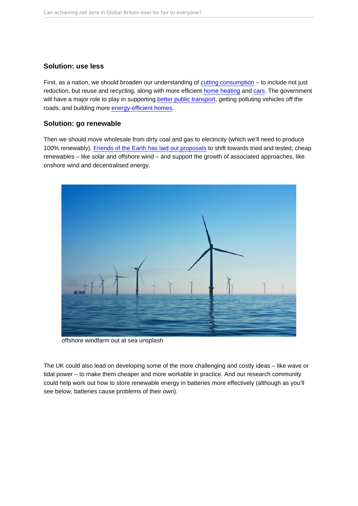#### Solution: use less

First, as a nation, we should broaden our understanding of [cutting consumption](https://policy.friendsoftheearth.uk/policy-positions/consumption-our-position) – to include not just reduction, but reuse and recycling, along with more efficient [home heating](https://policy.friendsoftheearth.uk/insight/future-heating) and [cars.](https://policy.friendsoftheearth.uk/insight/more-electric-cars) The government will have a major role to play in supporting [better public transport](https://policy.friendsoftheearth.uk/insight/net-zero-carbon-budget-whole-transport-sector), getting polluting vehicles off the roads, and building more [energy-efficient homes.](https://policy.friendsoftheearth.uk/policy-positions/housing-our-position)

#### Solution: go renewable

Then we should move wholesale from dirty coal and gas to electricity (which we'll need to produce 100% renewably). [Friends of the Earth has laid out proposals](https://policy.friendsoftheearth.uk/insight/faster-deeper-and-fairer-carbon-pollution-cuts-needed) to shift towards tried and tested, cheap renewables – like solar and offshore wind – and support the growth of associated approaches, like onshore wind and decentralised energy.

offshore windfarm out at sea unsplash

The UK could also lead on developing some of the more challenging and costly ideas – like wave or tidal power – to make them cheaper and more workable in practice. And our research community could help work out how to store renewable energy in batteries more effectively (although as you'll see below, batteries cause problems of their own).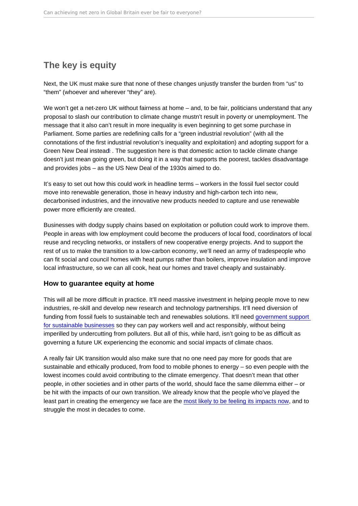# <span id="page-5-0"></span>The key is equity

Next, the UK must make sure that none of these changes unjustly transfer the burden from "us" to "them" (whoever and wherever "they" are).

We won't get a net-zero UK without fairness at home – and, to be fair, politicians understand that any proposal to slash our contribution to climate change mustn't result in poverty or unemployment. The message that it also can't result in more inequality is even beginning to get some purchase in Parliament. Some parties are redefining calls for a "green industrial revolution" (with all the connotations of the first industrial revolution's inequality and exploitation) and adopting support for a Green New Deal instead  $\overline{c}$ . The suggestion here is that domestic action to tackle climate change doesn't just mean going green, but doing it in a way that supports the poorest, tackles disadvantage and provides jobs – as the US New Deal of the 1930s aimed to do.

It's easy to set out how this could work in headline terms – workers in the fossil fuel sector could move into renewable generation, those in heavy industry and high-carbon tech into new, decarbonised industries, and the innovative new products needed to capture and use renewable power more efficiently are created.

Businesses with dodgy supply chains based on exploitation or pollution could work to improve them. People in areas with low employment could become the producers of local food, coordinators of local reuse and recycling networks, or installers of new cooperative energy projects. And to support the rest of us to make the transition to a low-carbon economy, we'll need an army of tradespeople who can fit social and council homes with heat pumps rather than boilers, improve insulation and improve local infrastructure, so we can all cook, heat our homes and travel cheaply and sustainably.

#### How to guarantee equity at home

This will all be more difficult in practice. It'll need massive investment in helping people move to new industries, re-skill and develop new research and technology partnerships. It'll need diversion of funding from fossil fuels to sustainable tech and renewables solutions. It'll need [government support](https://policy.friendsoftheearth.uk/insight/making-polluter-pay-transition-net-zero)  [for sustainable businesses](https://policy.friendsoftheearth.uk/insight/making-polluter-pay-transition-net-zero) so they can pay workers well and act responsibly, without being imperilled by undercutting from polluters. But all of this, while hard, isn't going to be as difficult as governing a future UK experiencing the economic and social impacts of climate chaos.

A really fair UK transition would also make sure that no one need pay more for goods that are sustainable and ethically produced, from food to mobile phones to energy – so even people with the lowest incomes could avoid contributing to the climate emergency. That doesn't mean that other people, in other societies and in other parts of the world, should face the same dilemma either – or be hit with the impacts of our own transition. We already know that the people who've played the least part in creating the emergency we face are the [most likely to be feeling its impacts now,](https://policy.friendsoftheearth.uk/policy-positions/climate-change-adaptation-our-position) and to struggle the most in decades to come.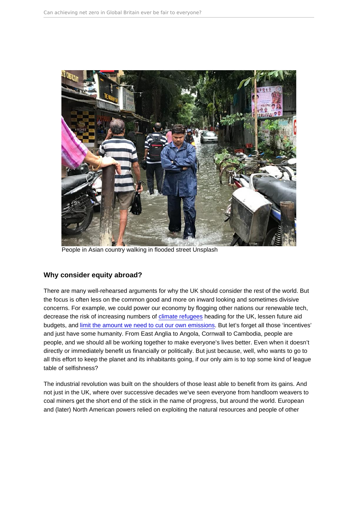People in Asian country walking in flooded street Unsplash

#### Why consider equity abroad?

There are many well-rehearsed arguments for why the UK should consider the rest of the world. But the focus is often less on the common good and more on inward looking and sometimes divisive concerns. For example, we could power our economy by flogging other nations our renewable tech, decrease the risk of increasing numbers of [climate refugees](https://policy.friendsoftheearth.uk/policy-positions/climate-refugees-our-position) heading for the UK, lessen future aid budgets, and [limit the amount we need to cut our own emissions](https://policy.friendsoftheearth.uk/insight/faster-deeper-and-fairer-carbon-pollution-cuts-needed). But let's forget all those 'incentives' and just have some humanity. From East Anglia to Angola, Cornwall to Cambodia, people are people, and we should all be working together to make everyone's lives better. Even when it doesn't directly or immediately benefit us financially or politically. But just because, well, who wants to go to all this effort to keep the planet and its inhabitants going, if our only aim is to top some kind of league table of selfishness?

The industrial revolution was built on the shoulders of those least able to benefit from its gains. And not just in the UK, where over successive decades we've seen everyone from handloom weavers to coal miners get the short end of the stick in the name of progress, but around the world. European and (later) North American powers relied on exploiting the natural resources and people of other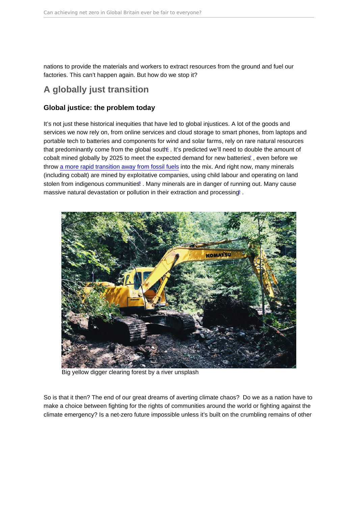<span id="page-7-0"></span>nations to provide the materials and workers to extract resources from the ground and fuel our factories. This can't happen again. But how do we stop it?

## A globally just transition

#### Global justice: the problem today

It's not just these historical inequities that have led to global injustices. A lot of the goods and services we now rely on, from online services and cloud storage to smart phones, from laptops and portable tech to batteries and components for wind and solar farms, rely on rare natural resources that predominantly come from the global south fig. It's predicted we'll need to double the amount of cobalt mined globally by 2025 to meet the expected demand for new batteries<sup> $z$ </sup>, even before we throw [a more rapid transition away from fossil fuels](https://policy.friendsoftheearth.uk/opinion/why-net-zero-greenhouse-gases-2050-dangerous) into the mix. And right now, many minerals (including cobalt) are mined by exploitative companies, using child labour and operating on land stolen from indigenous communitiest. Many minerals are in danger of running out. Many cause massive natural devastation or pollution in their extraction and processing .

Big yellow digger clearing forest by a river unsplash

So is that it then? The end of our great dreams of averting climate chaos? Do we as a nation have to make a choice between fighting for the rights of communities around the world or fighting against the climate emergency? Is a net-zero future impossible unless it's built on the crumbling remains of other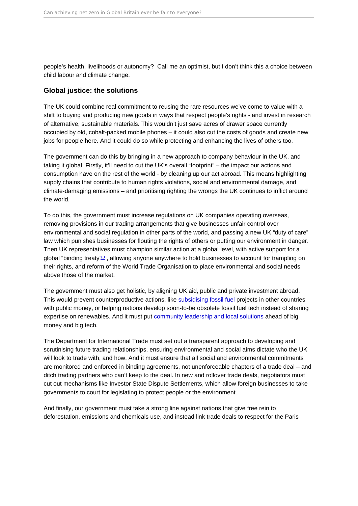<span id="page-8-0"></span>people's health, livelihoods or autonomy? Call me an optimist, but I don't think this a choice between child labour and climate change.

#### Global justice: the solutions

The UK could combine real commitment to reusing the rare resources we've come to value with a shift to buying and producing new goods in ways that respect people's rights - and invest in research of alternative, sustainable materials. This wouldn't just save acres of drawer space currently occupied by old, cobalt-packed mobile phones – it could also cut the costs of goods and create new jobs for people here. And it could do so while protecting and enhancing the lives of others too.

The government can do this by bringing in a new approach to company behaviour in the UK, and taking it global. Firstly, it'll need to cut the UK's overall "footprint" – the impact our actions and consumption have on the rest of the world - by cleaning up our act abroad. This means highlighting supply chains that contribute to human rights violations, social and environmental damage, and climate-damaging emissions – and prioritising righting the wrongs the UK continues to inflict around the world.

To do this, the government must increase regulations on UK companies operating overseas, removing provisions in our trading arrangements that give businesses unfair control over environmental and social regulation in other parts of the world, and passing a new UK "duty of care" law which punishes businesses for flouting the rights of others or putting our environment in danger. Then UK representatives must champion similar action at a global level, with active support for a global "binding treaty"<sup>[10](#page-11-0)</sup>, allowing anyone anywhere to hold businesses to account for trampling on their rights, and reform of the World Trade Organisation to place environmental and social needs above those of the market.

The government must also get holistic, by aligning UK aid, public and private investment abroad. This would prevent counterproductive actions, like [subsidising fossil fuel](https://friendsoftheearth.uk/climate-change/eac-calls-end-taxpayer-support-fossil-fuel-projects-2021-reaction-friends-earth) projects in other countries with public money, or helping nations develop soon-to-be obsolete fossil fuel tech instead of sharing expertise on renewables. And it must put [community leadership and local solutions](https://friendsoftheearth.uk/climate-change) ahead of big money and big tech.

The Department for International Trade must set out a transparent approach to developing and scrutinising future trading relationships, ensuring environmental and social aims dictate who the UK will look to trade with, and how. And it must ensure that all social and environmental commitments are monitored and enforced in binding agreements, not unenforceable chapters of a trade deal – and ditch trading partners who can't keep to the deal. In new and rollover trade deals, negotiators must cut out mechanisms like Investor State Dispute Settlements, which allow foreign businesses to take governments to court for legislating to protect people or the environment.

And finally, our government must take a strong line against nations that give free rein to deforestation, emissions and chemicals use, and instead link trade deals to respect for the Paris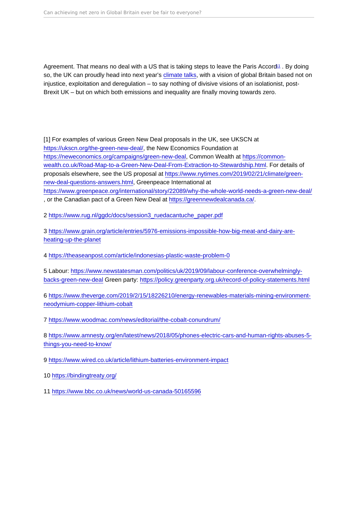<span id="page-9-0"></span>Agreement. That means no deal with a US that is taking steps to leave the Paris Accord<sup>[11](#page-11-0)</sup>. By doing so, the UK can proudly head into next year's [climate talks,](https://friendsoftheearth.uk/climate-change/un-conference-brings-climate-scrutiny-uk) with a vision of global Britain based not on injustice, exploitation and deregulation – to say nothing of divisive visions of an isolationist, post-Brexit UK – but on which both emissions and inequality are finally moving towards zero.

[1] For examples of various Green New Deal proposals in the UK, see UKSCN at <https://ukscn.org/the-green-new-deal/>, the New Economics Foundation at <https://neweconomics.org/campaigns/green-new-deal>, Common Wealth at [https://common](https://common-wealth.co.uk/Road-Map-to-a-Green-New-Deal-From-Extraction-to-Stewardship.html)[wealth.co.uk/Road-Map-to-a-Green-New-Deal-From-Extraction-to-Stewardship.html.](https://common-wealth.co.uk/Road-Map-to-a-Green-New-Deal-From-Extraction-to-Stewardship.html) For details of proposals elsewhere, see the US proposal at [https://www.nytimes.com/2019/02/21/climate/green](https://www.nytimes.com/2019/02/21/climate/green-new-deal-questions-answers.html)[new-deal-questions-answers.html,](https://www.nytimes.com/2019/02/21/climate/green-new-deal-questions-answers.html) Greenpeace International at <https://www.greenpeace.org/international/story/22089/why-the-whole-world-needs-a-green-new-deal/> , or the Canadian pact of a Green New Deal at [https://greennewdealcanada.ca/.](https://greennewdealcanada.ca/)

2 [https://www.rug.nl/ggdc/docs/session3\\_ruedacantuche\\_paper.pdf](https://www.rug.nl/ggdc/docs/session3_ruedacantuche_paper.pdf)

3 [https://www.grain.org/article/entries/5976-emissions-impossible-how-big-meat-and-dairy-are](https://www.grain.org/article/entries/5976-emissions-impossible-how-big-meat-and-dairy-are-heating-up-the-planet)[heating-up-the-planet](https://www.grain.org/article/entries/5976-emissions-impossible-how-big-meat-and-dairy-are-heating-up-the-planet)

4<https://theaseanpost.com/article/indonesias-plastic-waste-problem-0>

5 Labour: [https://www.newstatesman.com/politics/uk/2019/09/labour-conference-overwhelmingly](https://www.newstatesman.com/politics/uk/2019/09/labour-conference-overwhelmingly-backs-green-new-deal)[backs-green-new-deal](https://www.newstatesman.com/politics/uk/2019/09/labour-conference-overwhelmingly-backs-green-new-deal) Green party: <https://policy.greenparty.org.uk/record-of-policy-statements.html>

6 [https://www.theverge.com/2019/2/15/18226210/energy-renewables-materials-mining-environment](https://www.theverge.com/2019/2/15/18226210/energy-renewables-materials-mining-environment-neodymium-copper-lithium-cobalt)[neodymium-copper-lithium-cobalt](https://www.theverge.com/2019/2/15/18226210/energy-renewables-materials-mining-environment-neodymium-copper-lithium-cobalt)

7<https://www.woodmac.com/news/editorial/the-cobalt-conundrum/>

8 [https://www.amnesty.org/en/latest/news/2018/05/phones-electric-cars-and-human-rights-abuses-5](https://www.amnesty.org/en/latest/news/2018/05/phones-electric-cars-and-human-rights-abuses-5-things-you-need-to-know/) [things-you-need-to-know/](https://www.amnesty.org/en/latest/news/2018/05/phones-electric-cars-and-human-rights-abuses-5-things-you-need-to-know/)

9<https://www.wired.co.uk/article/lithium-batteries-environment-impact>

10 <https://bindingtreaty.org/>

11 <https://www.bbc.co.uk/news/world-us-canada-50165596>